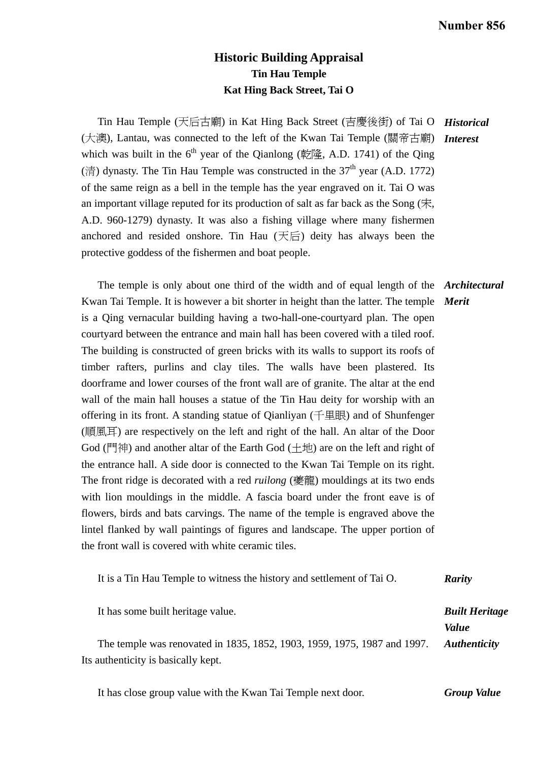## **Historic Building Appraisal Tin Hau Temple Kat Hing Back Street, Tai O**

 Tin Hau Temple (天后古廟) in Kat Hing Back Street (吉慶後街) of Tai O *Historical*  (大澳), Lantau, was connected to the left of the Kwan Tai Temple (關帝古廟) which was built in the  $6<sup>th</sup>$  year of the Qianlong (乾隆, A.D. 1741) of the Qing (清) dynasty. The Tin Hau Temple was constructed in the  $37<sup>th</sup>$  year (A.D. 1772) of the same reign as a bell in the temple has the year engraved on it. Tai O was an important village reputed for its production of salt as far back as the Song (宋, A.D. 960-1279) dynasty. It was also a fishing village where many fishermen anchored and resided onshore. Tin Hau (天后) deity has always been the protective goddess of the fishermen and boat people. *Interest* 

 The temple is only about one third of the width and of equal length of the *Architectural*  Kwan Tai Temple. It is however a bit shorter in height than the latter. The temple *Merit*  is a Qing vernacular building having a two-hall-one-courtyard plan. The open courtyard between the entrance and main hall has been covered with a tiled roof. The building is constructed of green bricks with its walls to support its roofs of timber rafters, purlins and clay tiles. The walls have been plastered. Its doorframe and lower courses of the front wall are of granite. The altar at the end wall of the main hall houses a statue of the Tin Hau deity for worship with an offering in its front. A standing statue of Qianliyan (千里眼) and of Shunfenger (順風耳) are respectively on the left and right of the hall. An altar of the Door God (門神) and another altar of the Earth God (土地) are on the left and right of the entrance hall. A side door is connected to the Kwan Tai Temple on its right. The front ridge is decorated with a red *ruilong* (夔龍) mouldings at its two ends with lion mouldings in the middle. A fascia board under the front eave is of flowers, birds and bats carvings. The name of the temple is engraved above the lintel flanked by wall paintings of figures and landscape. The upper portion of the front wall is covered with white ceramic tiles.

| It is a Tin Hau Temple to witness the history and settlement of Tai O.                                          | <b>Rarity</b>                         |
|-----------------------------------------------------------------------------------------------------------------|---------------------------------------|
| It has some built heritage value.                                                                               | <b>Built Heritage</b><br><i>Value</i> |
| The temple was renovated in 1835, 1852, 1903, 1959, 1975, 1987 and 1997.<br>Its authenticity is basically kept. | <b>Authenticity</b>                   |

 It has close group value with the Kwan Tai Temple next door. *Group Value*